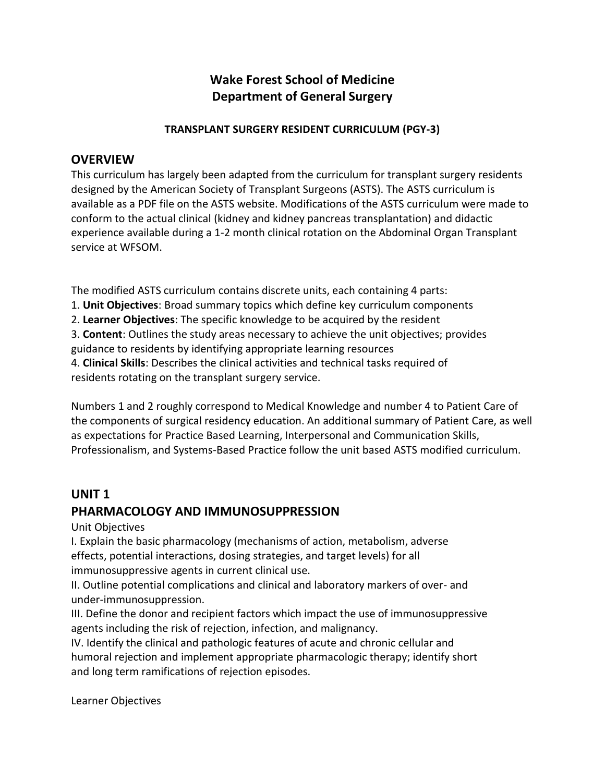# **Wake Forest School of Medicine Department of General Surgery**

### **TRANSPLANT SURGERY RESIDENT CURRICULUM (PGY-3)**

# **OVERVIEW**

This curriculum has largely been adapted from the curriculum for transplant surgery residents designed by the American Society of Transplant Surgeons (ASTS). The ASTS curriculum is available as a PDF file on the ASTS website. Modifications of the ASTS curriculum were made to conform to the actual clinical (kidney and kidney pancreas transplantation) and didactic experience available during a 1-2 month clinical rotation on the Abdominal Organ Transplant service at WFSOM.

The modified ASTS curriculum contains discrete units, each containing 4 parts:

- 1. **Unit Objectives**: Broad summary topics which define key curriculum components
- 2. **Learner Objectives**: The specific knowledge to be acquired by the resident

3. **Content**: Outlines the study areas necessary to achieve the unit objectives; provides guidance to residents by identifying appropriate learning resources

4. **Clinical Skills**: Describes the clinical activities and technical tasks required of residents rotating on the transplant surgery service.

Numbers 1 and 2 roughly correspond to Medical Knowledge and number 4 to Patient Care of the components of surgical residency education. An additional summary of Patient Care, as well as expectations for Practice Based Learning, Interpersonal and Communication Skills, Professionalism, and Systems-Based Practice follow the unit based ASTS modified curriculum.

# **UNIT 1**

# **PHARMACOLOGY AND IMMUNOSUPPRESSION**

Unit Objectives

I. Explain the basic pharmacology (mechanisms of action, metabolism, adverse effects, potential interactions, dosing strategies, and target levels) for all immunosuppressive agents in current clinical use.

II. Outline potential complications and clinical and laboratory markers of over- and under-immunosuppression.

III. Define the donor and recipient factors which impact the use of immunosuppressive agents including the risk of rejection, infection, and malignancy.

IV. Identify the clinical and pathologic features of acute and chronic cellular and humoral rejection and implement appropriate pharmacologic therapy; identify short and long term ramifications of rejection episodes.

Learner Objectives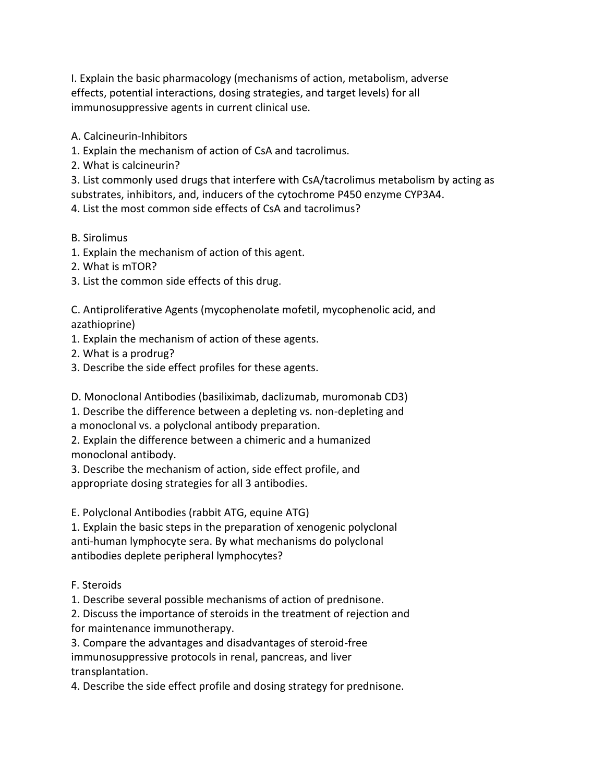I. Explain the basic pharmacology (mechanisms of action, metabolism, adverse effects, potential interactions, dosing strategies, and target levels) for all immunosuppressive agents in current clinical use.

A. Calcineurin-Inhibitors

1. Explain the mechanism of action of CsA and tacrolimus.

2. What is calcineurin?

3. List commonly used drugs that interfere with CsA/tacrolimus metabolism by acting as

substrates, inhibitors, and, inducers of the cytochrome P450 enzyme CYP3A4.

4. List the most common side effects of CsA and tacrolimus?

B. Sirolimus

1. Explain the mechanism of action of this agent.

2. What is mTOR?

3. List the common side effects of this drug.

C. Antiproliferative Agents (mycophenolate mofetil, mycophenolic acid, and azathioprine)

1. Explain the mechanism of action of these agents.

2. What is a prodrug?

3. Describe the side effect profiles for these agents.

D. Monoclonal Antibodies (basiliximab, daclizumab, muromonab CD3)

1. Describe the difference between a depleting vs. non-depleting and a monoclonal vs. a polyclonal antibody preparation.

2. Explain the difference between a chimeric and a humanized monoclonal antibody.

3. Describe the mechanism of action, side effect profile, and appropriate dosing strategies for all 3 antibodies.

E. Polyclonal Antibodies (rabbit ATG, equine ATG)

1. Explain the basic steps in the preparation of xenogenic polyclonal anti-human lymphocyte sera. By what mechanisms do polyclonal antibodies deplete peripheral lymphocytes?

F. Steroids

1. Describe several possible mechanisms of action of prednisone.

2. Discuss the importance of steroids in the treatment of rejection and for maintenance immunotherapy.

3. Compare the advantages and disadvantages of steroid-free immunosuppressive protocols in renal, pancreas, and liver transplantation.

4. Describe the side effect profile and dosing strategy for prednisone.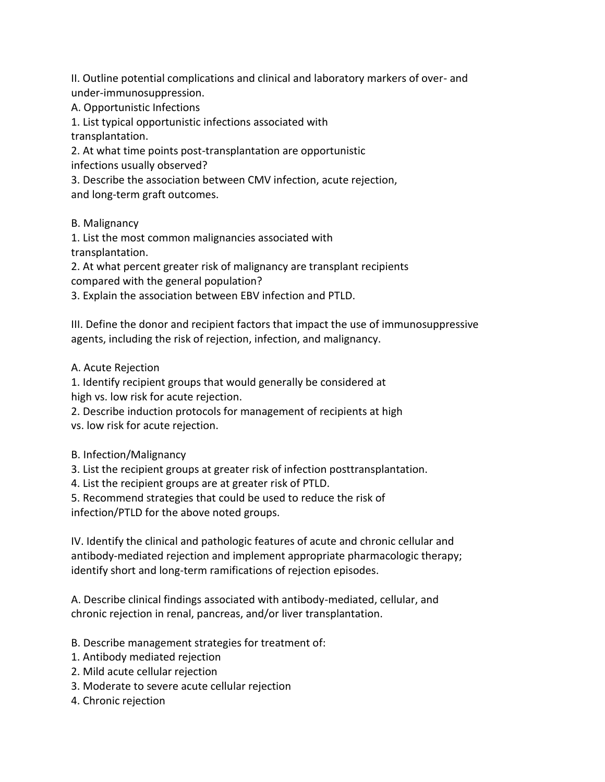II. Outline potential complications and clinical and laboratory markers of over- and under-immunosuppression.

A. Opportunistic Infections

1. List typical opportunistic infections associated with

transplantation.

2. At what time points post-transplantation are opportunistic infections usually observed?

3. Describe the association between CMV infection, acute rejection, and long-term graft outcomes.

B. Malignancy

1. List the most common malignancies associated with transplantation.

2. At what percent greater risk of malignancy are transplant recipients compared with the general population?

3. Explain the association between EBV infection and PTLD.

III. Define the donor and recipient factors that impact the use of immunosuppressive agents, including the risk of rejection, infection, and malignancy.

A. Acute Rejection

1. Identify recipient groups that would generally be considered at high vs. low risk for acute rejection.

2. Describe induction protocols for management of recipients at high vs. low risk for acute rejection.

B. Infection/Malignancy

3. List the recipient groups at greater risk of infection posttransplantation.

4. List the recipient groups are at greater risk of PTLD.

5. Recommend strategies that could be used to reduce the risk of infection/PTLD for the above noted groups.

IV. Identify the clinical and pathologic features of acute and chronic cellular and antibody-mediated rejection and implement appropriate pharmacologic therapy; identify short and long-term ramifications of rejection episodes.

A. Describe clinical findings associated with antibody-mediated, cellular, and chronic rejection in renal, pancreas, and/or liver transplantation.

B. Describe management strategies for treatment of:

- 1. Antibody mediated rejection
- 2. Mild acute cellular rejection
- 3. Moderate to severe acute cellular rejection
- 4. Chronic rejection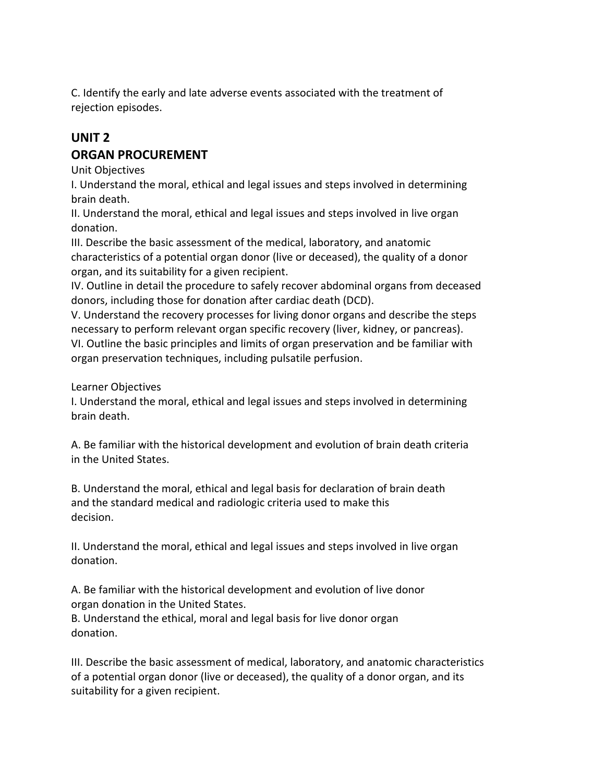C. Identify the early and late adverse events associated with the treatment of rejection episodes.

# **UNIT 2 ORGAN PROCUREMENT**

Unit Objectives

I. Understand the moral, ethical and legal issues and steps involved in determining brain death.

II. Understand the moral, ethical and legal issues and steps involved in live organ donation.

III. Describe the basic assessment of the medical, laboratory, and anatomic characteristics of a potential organ donor (live or deceased), the quality of a donor organ, and its suitability for a given recipient.

IV. Outline in detail the procedure to safely recover abdominal organs from deceased donors, including those for donation after cardiac death (DCD).

V. Understand the recovery processes for living donor organs and describe the steps necessary to perform relevant organ specific recovery (liver, kidney, or pancreas).

VI. Outline the basic principles and limits of organ preservation and be familiar with organ preservation techniques, including pulsatile perfusion.

Learner Objectives

I. Understand the moral, ethical and legal issues and steps involved in determining brain death.

A. Be familiar with the historical development and evolution of brain death criteria in the United States.

B. Understand the moral, ethical and legal basis for declaration of brain death and the standard medical and radiologic criteria used to make this decision.

II. Understand the moral, ethical and legal issues and steps involved in live organ donation.

A. Be familiar with the historical development and evolution of live donor organ donation in the United States.

B. Understand the ethical, moral and legal basis for live donor organ donation.

III. Describe the basic assessment of medical, laboratory, and anatomic characteristics of a potential organ donor (live or deceased), the quality of a donor organ, and its suitability for a given recipient.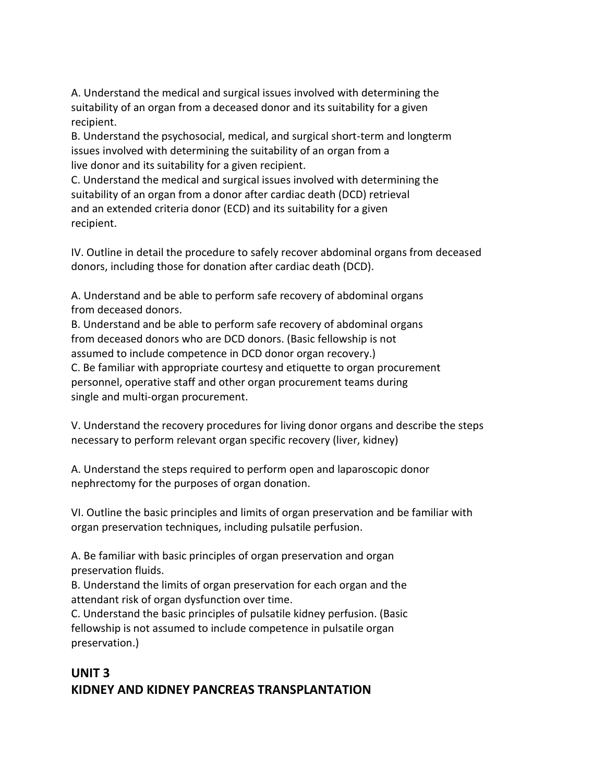A. Understand the medical and surgical issues involved with determining the suitability of an organ from a deceased donor and its suitability for a given recipient.

B. Understand the psychosocial, medical, and surgical short-term and longterm issues involved with determining the suitability of an organ from a live donor and its suitability for a given recipient.

C. Understand the medical and surgical issues involved with determining the suitability of an organ from a donor after cardiac death (DCD) retrieval and an extended criteria donor (ECD) and its suitability for a given recipient.

IV. Outline in detail the procedure to safely recover abdominal organs from deceased donors, including those for donation after cardiac death (DCD).

A. Understand and be able to perform safe recovery of abdominal organs from deceased donors.

B. Understand and be able to perform safe recovery of abdominal organs from deceased donors who are DCD donors. (Basic fellowship is not assumed to include competence in DCD donor organ recovery.)

C. Be familiar with appropriate courtesy and etiquette to organ procurement personnel, operative staff and other organ procurement teams during single and multi-organ procurement.

V. Understand the recovery procedures for living donor organs and describe the steps necessary to perform relevant organ specific recovery (liver, kidney)

A. Understand the steps required to perform open and laparoscopic donor nephrectomy for the purposes of organ donation.

VI. Outline the basic principles and limits of organ preservation and be familiar with organ preservation techniques, including pulsatile perfusion.

A. Be familiar with basic principles of organ preservation and organ preservation fluids.

B. Understand the limits of organ preservation for each organ and the attendant risk of organ dysfunction over time.

C. Understand the basic principles of pulsatile kidney perfusion. (Basic fellowship is not assumed to include competence in pulsatile organ preservation.)

# **UNIT 3 KIDNEY AND KIDNEY PANCREAS TRANSPLANTATION**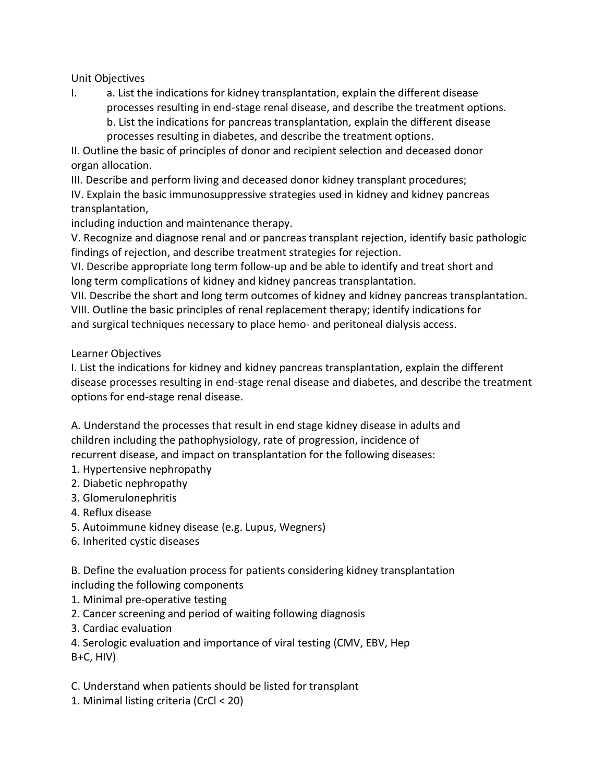Unit Objectives

I. a. List the indications for kidney transplantation, explain the different disease processes resulting in end-stage renal disease, and describe the treatment options. b. List the indications for pancreas transplantation, explain the different disease processes resulting in diabetes, and describe the treatment options.

II. Outline the basic of principles of donor and recipient selection and deceased donor organ allocation.

III. Describe and perform living and deceased donor kidney transplant procedures; IV. Explain the basic immunosuppressive strategies used in kidney and kidney pancreas

transplantation,

including induction and maintenance therapy.

V. Recognize and diagnose renal and or pancreas transplant rejection, identify basic pathologic findings of rejection, and describe treatment strategies for rejection.

VI. Describe appropriate long term follow-up and be able to identify and treat short and long term complications of kidney and kidney pancreas transplantation.

VII. Describe the short and long term outcomes of kidney and kidney pancreas transplantation. VIII. Outline the basic principles of renal replacement therapy; identify indications for and surgical techniques necessary to place hemo- and peritoneal dialysis access.

# Learner Objectives

I. List the indications for kidney and kidney pancreas transplantation, explain the different disease processes resulting in end-stage renal disease and diabetes, and describe the treatment options for end-stage renal disease.

A. Understand the processes that result in end stage kidney disease in adults and children including the pathophysiology, rate of progression, incidence of recurrent disease, and impact on transplantation for the following diseases:

1. Hypertensive nephropathy

- 2. Diabetic nephropathy
- 3. Glomerulonephritis
- 4. Reflux disease
- 5. Autoimmune kidney disease (e.g. Lupus, Wegners)
- 6. Inherited cystic diseases

B. Define the evaluation process for patients considering kidney transplantation including the following components

- 1. Minimal pre-operative testing
- 2. Cancer screening and period of waiting following diagnosis
- 3. Cardiac evaluation

4. Serologic evaluation and importance of viral testing (CMV, EBV, Hep B+C, HIV)

- C. Understand when patients should be listed for transplant
- 1. Minimal listing criteria (CrCl < 20)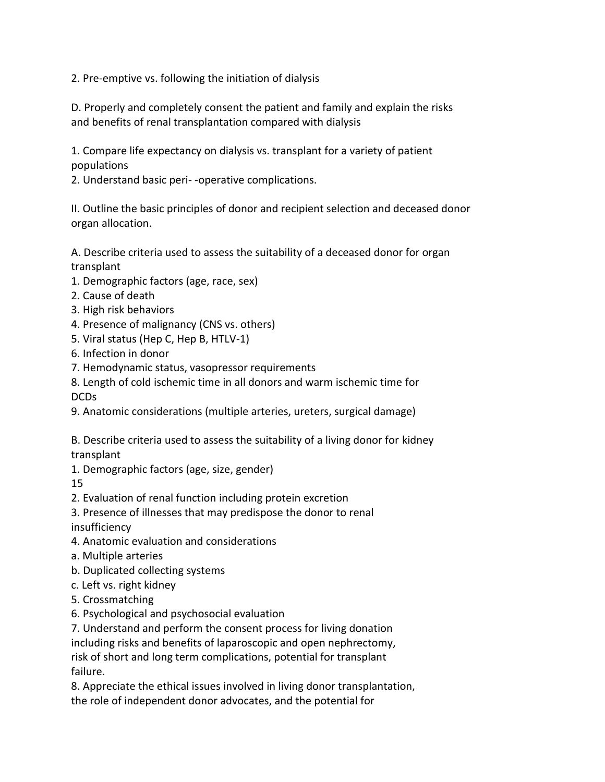2. Pre-emptive vs. following the initiation of dialysis

D. Properly and completely consent the patient and family and explain the risks and benefits of renal transplantation compared with dialysis

1. Compare life expectancy on dialysis vs. transplant for a variety of patient populations

2. Understand basic peri- -operative complications.

II. Outline the basic principles of donor and recipient selection and deceased donor organ allocation.

A. Describe criteria used to assess the suitability of a deceased donor for organ transplant

- 1. Demographic factors (age, race, sex)
- 2. Cause of death
- 3. High risk behaviors
- 4. Presence of malignancy (CNS vs. others)
- 5. Viral status (Hep C, Hep B, HTLV-1)
- 6. Infection in donor
- 7. Hemodynamic status, vasopressor requirements

8. Length of cold ischemic time in all donors and warm ischemic time for DCDs

9. Anatomic considerations (multiple arteries, ureters, surgical damage)

B. Describe criteria used to assess the suitability of a living donor for kidney transplant

1. Demographic factors (age, size, gender)

15

- 2. Evaluation of renal function including protein excretion
- 3. Presence of illnesses that may predispose the donor to renal insufficiency
- 4. Anatomic evaluation and considerations
- a. Multiple arteries
- b. Duplicated collecting systems
- c. Left vs. right kidney
- 5. Crossmatching
- 6. Psychological and psychosocial evaluation

7. Understand and perform the consent process for living donation including risks and benefits of laparoscopic and open nephrectomy, risk of short and long term complications, potential for transplant failure.

8. Appreciate the ethical issues involved in living donor transplantation, the role of independent donor advocates, and the potential for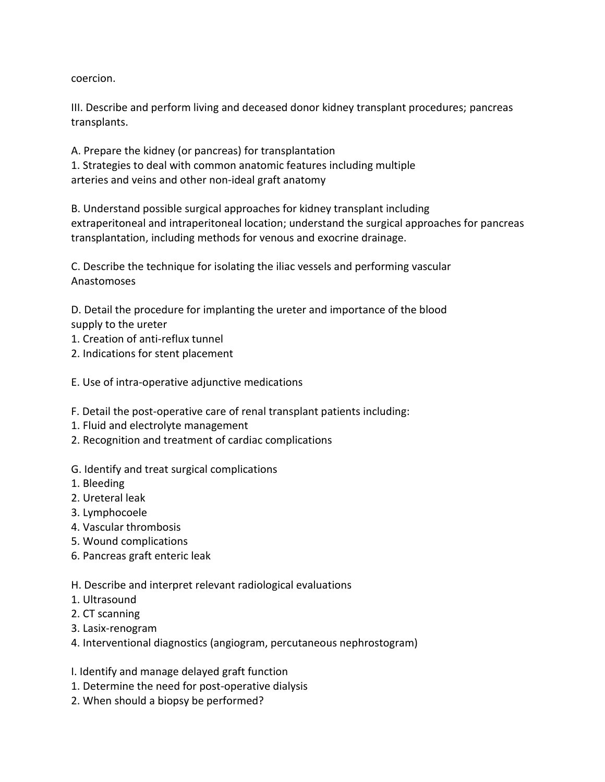coercion.

III. Describe and perform living and deceased donor kidney transplant procedures; pancreas transplants.

A. Prepare the kidney (or pancreas) for transplantation 1. Strategies to deal with common anatomic features including multiple arteries and veins and other non-ideal graft anatomy

B. Understand possible surgical approaches for kidney transplant including extraperitoneal and intraperitoneal location; understand the surgical approaches for pancreas transplantation, including methods for venous and exocrine drainage.

C. Describe the technique for isolating the iliac vessels and performing vascular Anastomoses

D. Detail the procedure for implanting the ureter and importance of the blood supply to the ureter

- 1. Creation of anti-reflux tunnel
- 2. Indications for stent placement

E. Use of intra-operative adjunctive medications

- F. Detail the post-operative care of renal transplant patients including:
- 1. Fluid and electrolyte management
- 2. Recognition and treatment of cardiac complications
- G. Identify and treat surgical complications
- 1. Bleeding
- 2. Ureteral leak
- 3. Lymphocoele
- 4. Vascular thrombosis
- 5. Wound complications
- 6. Pancreas graft enteric leak
- H. Describe and interpret relevant radiological evaluations
- 1. Ultrasound
- 2. CT scanning
- 3. Lasix-renogram
- 4. Interventional diagnostics (angiogram, percutaneous nephrostogram)
- I. Identify and manage delayed graft function
- 1. Determine the need for post-operative dialysis
- 2. When should a biopsy be performed?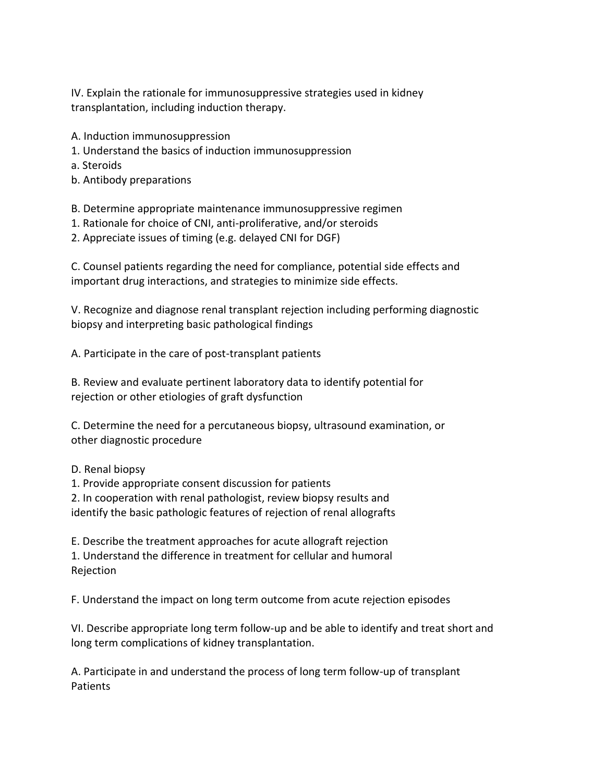IV. Explain the rationale for immunosuppressive strategies used in kidney transplantation, including induction therapy.

- A. Induction immunosuppression
- 1. Understand the basics of induction immunosuppression
- a. Steroids
- b. Antibody preparations

B. Determine appropriate maintenance immunosuppressive regimen

- 1. Rationale for choice of CNI, anti-proliferative, and/or steroids
- 2. Appreciate issues of timing (e.g. delayed CNI for DGF)

C. Counsel patients regarding the need for compliance, potential side effects and important drug interactions, and strategies to minimize side effects.

V. Recognize and diagnose renal transplant rejection including performing diagnostic biopsy and interpreting basic pathological findings

A. Participate in the care of post-transplant patients

B. Review and evaluate pertinent laboratory data to identify potential for rejection or other etiologies of graft dysfunction

C. Determine the need for a percutaneous biopsy, ultrasound examination, or other diagnostic procedure

D. Renal biopsy

1. Provide appropriate consent discussion for patients

2. In cooperation with renal pathologist, review biopsy results and

identify the basic pathologic features of rejection of renal allografts

E. Describe the treatment approaches for acute allograft rejection

1. Understand the difference in treatment for cellular and humoral Rejection

F. Understand the impact on long term outcome from acute rejection episodes

VI. Describe appropriate long term follow-up and be able to identify and treat short and long term complications of kidney transplantation.

A. Participate in and understand the process of long term follow-up of transplant Patients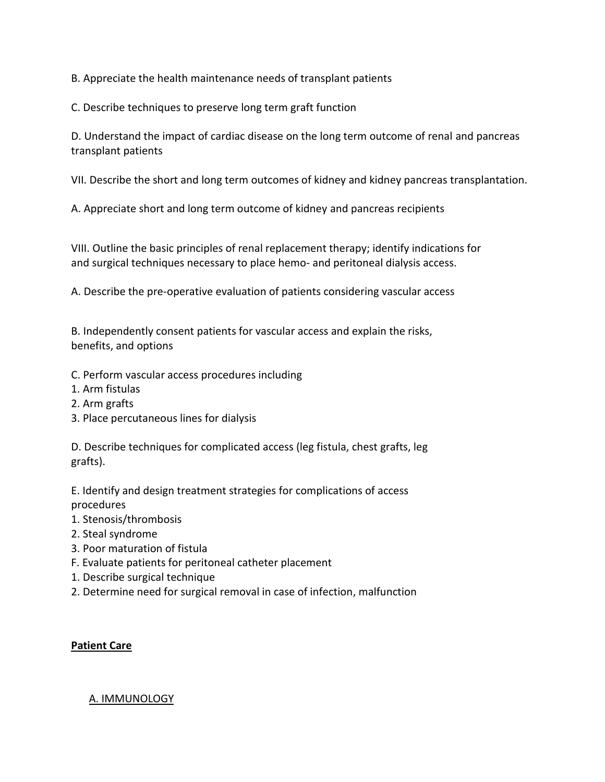B. Appreciate the health maintenance needs of transplant patients

C. Describe techniques to preserve long term graft function

D. Understand the impact of cardiac disease on the long term outcome of renal and pancreas transplant patients

VII. Describe the short and long term outcomes of kidney and kidney pancreas transplantation.

A. Appreciate short and long term outcome of kidney and pancreas recipients

VIII. Outline the basic principles of renal replacement therapy; identify indications for and surgical techniques necessary to place hemo- and peritoneal dialysis access.

A. Describe the pre-operative evaluation of patients considering vascular access

B. Independently consent patients for vascular access and explain the risks, benefits, and options

- C. Perform vascular access procedures including
- 1. Arm fistulas
- 2. Arm grafts
- 3. Place percutaneous lines for dialysis

D. Describe techniques for complicated access (leg fistula, chest grafts, leg grafts).

E. Identify and design treatment strategies for complications of access procedures

- 1. Stenosis/thrombosis
- 2. Steal syndrome
- 3. Poor maturation of fistula
- F. Evaluate patients for peritoneal catheter placement
- 1. Describe surgical technique
- 2. Determine need for surgical removal in case of infection, malfunction

#### **Patient Care**

#### A. IMMUNOLOGY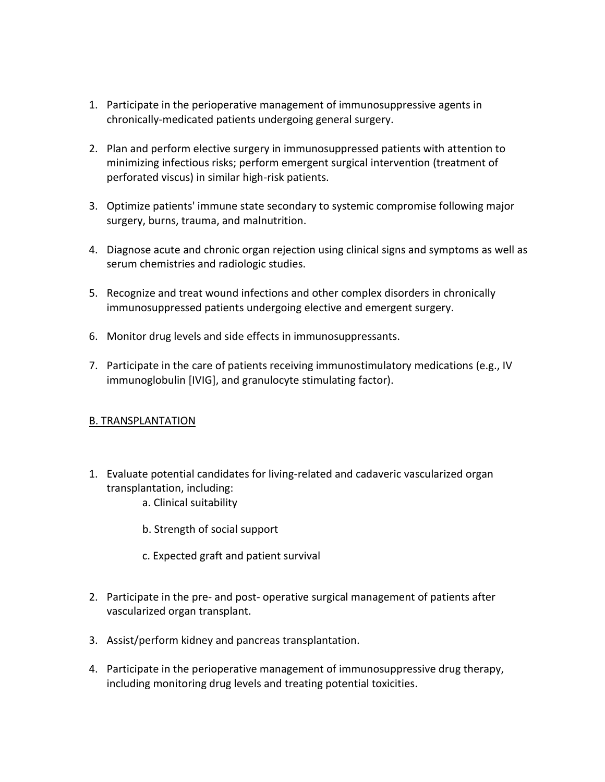- 1. Participate in the perioperative management of immunosuppressive agents in chronically-medicated patients undergoing general surgery.
- 2. Plan and perform elective surgery in immunosuppressed patients with attention to minimizing infectious risks; perform emergent surgical intervention (treatment of perforated viscus) in similar high-risk patients.
- 3. Optimize patients' immune state secondary to systemic compromise following major surgery, burns, trauma, and malnutrition.
- 4. Diagnose acute and chronic organ rejection using clinical signs and symptoms as well as serum chemistries and radiologic studies.
- 5. Recognize and treat wound infections and other complex disorders in chronically immunosuppressed patients undergoing elective and emergent surgery.
- 6. Monitor drug levels and side effects in immunosuppressants.
- 7. Participate in the care of patients receiving immunostimulatory medications (e.g., IV immunoglobulin [IVIG], and granulocyte stimulating factor).

#### B. TRANSPLANTATION

- 1. Evaluate potential candidates for living-related and cadaveric vascularized organ transplantation, including:
	- a. Clinical suitability
	- b. Strength of social support
	- c. Expected graft and patient survival
- 2. Participate in the pre- and post- operative surgical management of patients after vascularized organ transplant.
- 3. Assist/perform kidney and pancreas transplantation.
- 4. Participate in the perioperative management of immunosuppressive drug therapy, including monitoring drug levels and treating potential toxicities.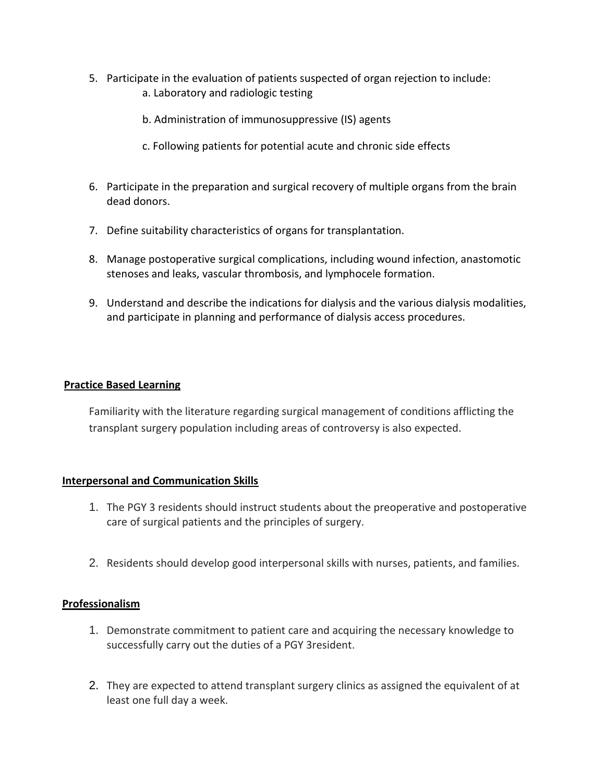- 5. Participate in the evaluation of patients suspected of organ rejection to include: a. Laboratory and radiologic testing
	- b. Administration of immunosuppressive (IS) agents
	- c. Following patients for potential acute and chronic side effects
- 6. Participate in the preparation and surgical recovery of multiple organs from the brain dead donors.
- 7. Define suitability characteristics of organs for transplantation.
- 8. Manage postoperative surgical complications, including wound infection, anastomotic stenoses and leaks, vascular thrombosis, and lymphocele formation.
- 9. Understand and describe the indications for dialysis and the various dialysis modalities, and participate in planning and performance of dialysis access procedures.

#### **Practice Based Learning**

Familiarity with the literature regarding surgical management of conditions afflicting the transplant surgery population including areas of controversy is also expected.

#### **Interpersonal and Communication Skills**

- 1. The PGY 3 residents should instruct students about the preoperative and postoperative care of surgical patients and the principles of surgery.
- 2. Residents should develop good interpersonal skills with nurses, patients, and families.

#### **Professionalism**

- 1. Demonstrate commitment to patient care and acquiring the necessary knowledge to successfully carry out the duties of a PGY 3resident.
- 2. They are expected to attend transplant surgery clinics as assigned the equivalent of at least one full day a week.